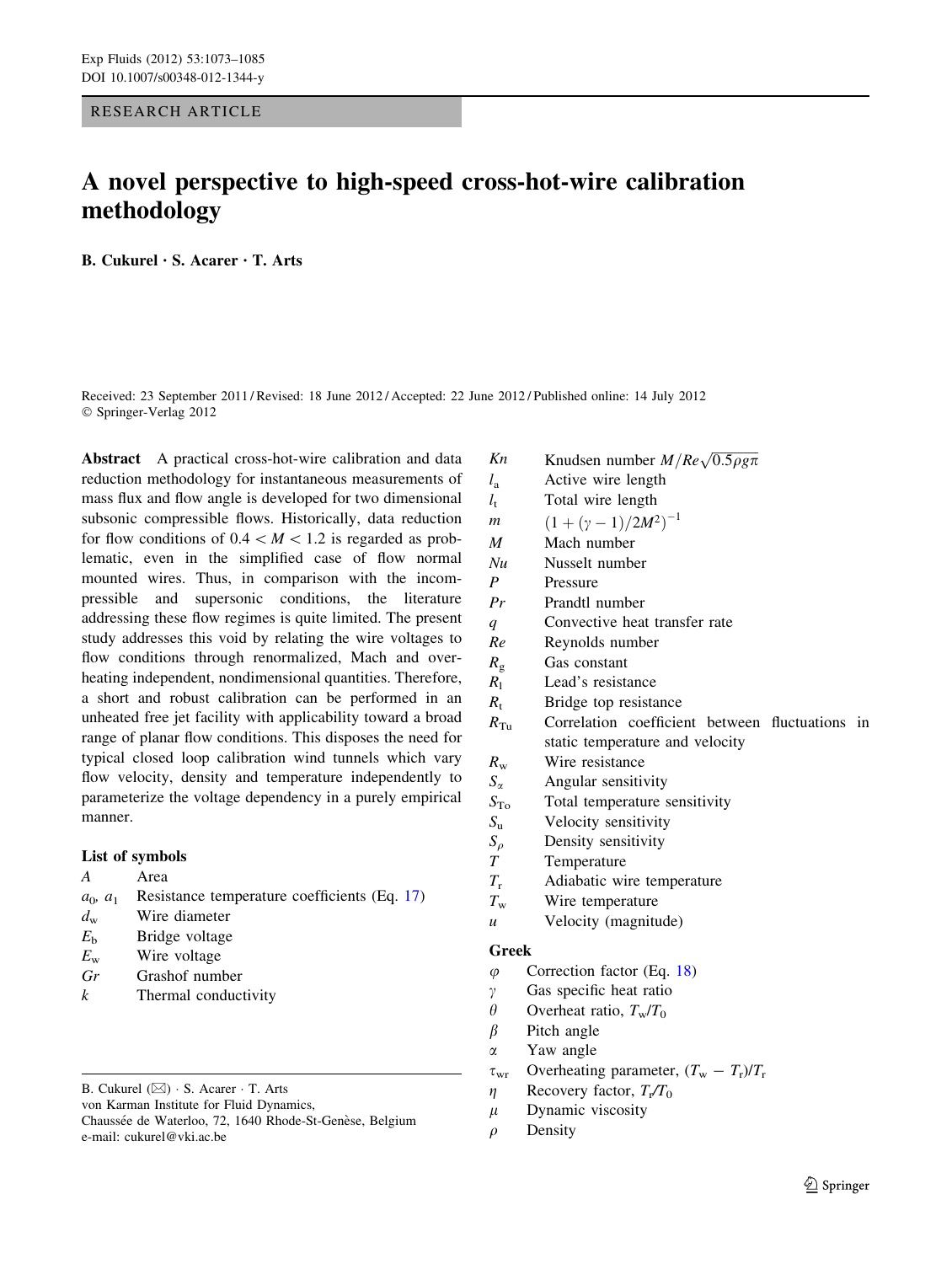# RESEARCH ARTICLE

# A novel perspective to high-speed cross-hot-wire calibration methodology

B. Cukurel • S. Acarer • T. Arts

Received: 23 September 2011 / Revised: 18 June 2012 / Accepted: 22 June 2012 / Published online: 14 July 2012 © Springer-Verlag 2012

Abstract A practical cross-hot-wire calibration and data reduction methodology for instantaneous measurements of mass flux and flow angle is developed for two dimensional subsonic compressible flows. Historically, data reduction for flow conditions of  $0.4 < M < 1.2$  is regarded as problematic, even in the simplified case of flow normal mounted wires. Thus, in comparison with the incompressible and supersonic conditions, the literature addressing these flow regimes is quite limited. The present study addresses this void by relating the wire voltages to flow conditions through renormalized, Mach and overheating independent, nondimensional quantities. Therefore, a short and robust calibration can be performed in an unheated free jet facility with applicability toward a broad range of planar flow conditions. This disposes the need for typical closed loop calibration wind tunnels which vary flow velocity, density and temperature independently to parameterize the voltage dependency in a purely empirical manner.

# List of symbols

- A Area
- $a_0$ ,  $a_1$  Resistance temperature coefficients (Eq. [17\)](#page-5-0)  $d_{\rm w}$  Wire diameter  $E<sub>b</sub>$  Bridge voltage
- $E_w$  Wire voltage
- Gr Grashof number
- $k$  Thermal conductivity

Chaussée de Waterloo, 72, 1640 Rhode-St-Genèse, Belgium e-mail: cukurel@vki.ac.be

- Kn Knudsen number  $M/Re\sqrt{0.5\rho g\pi}$
- $l<sub>a</sub>$  Active wire length
- $l_t$  Total wire length
- $m = (1 + (\gamma 1)/2M^2)^{-1}$
- M Mach number
- $Nu$  Nusselt number
- P Pressure
- Pr Prandtl number
- q Convective heat transfer rate
- Re Reynolds number
- $R_{\rm g}$  Gas constant
- $R_1$  Lead's resistance
- $R_t$  Bridge top resistance
- $R_{\text{Tu}}$  Correlation coefficient between fluctuations in static temperature and velocity
- $R_{\rm w}$  Wire resistance
- $S_{\alpha}$  Angular sensitivity
- $S_{\text{To}}$  Total temperature sensitivity
- $S_{\alpha}$  Velocity sensitivity<br> $S_{\alpha}$  Density sensitivity
- Density sensitivity
- T Temperature
- $T_{\rm r}$  Adiabatic wire temperature
- $T_{\rm w}$  Wire temperature
- u Velocity (magnitude)

## Greek

- $\varphi$  Correction factor (Eq. [18\)](#page-6-0)
- $\gamma$  Gas specific heat ratio
- $\theta$  Overheat ratio,  $T_w/T_0$
- $\beta$  Pitch angle
- a Yaw angle
- $\tau_{wr}$  Overheating parameter,  $(T_w T_r)/T_r$
- $\eta$  Recovery factor,  $T_r/T_0$
- $\mu$  Dynamic viscosity
- $\rho$  Density

B. Cukurel  $(\boxtimes) \cdot$  S. Acarer  $\cdot$  T. Arts

von Karman Institute for Fluid Dynamics,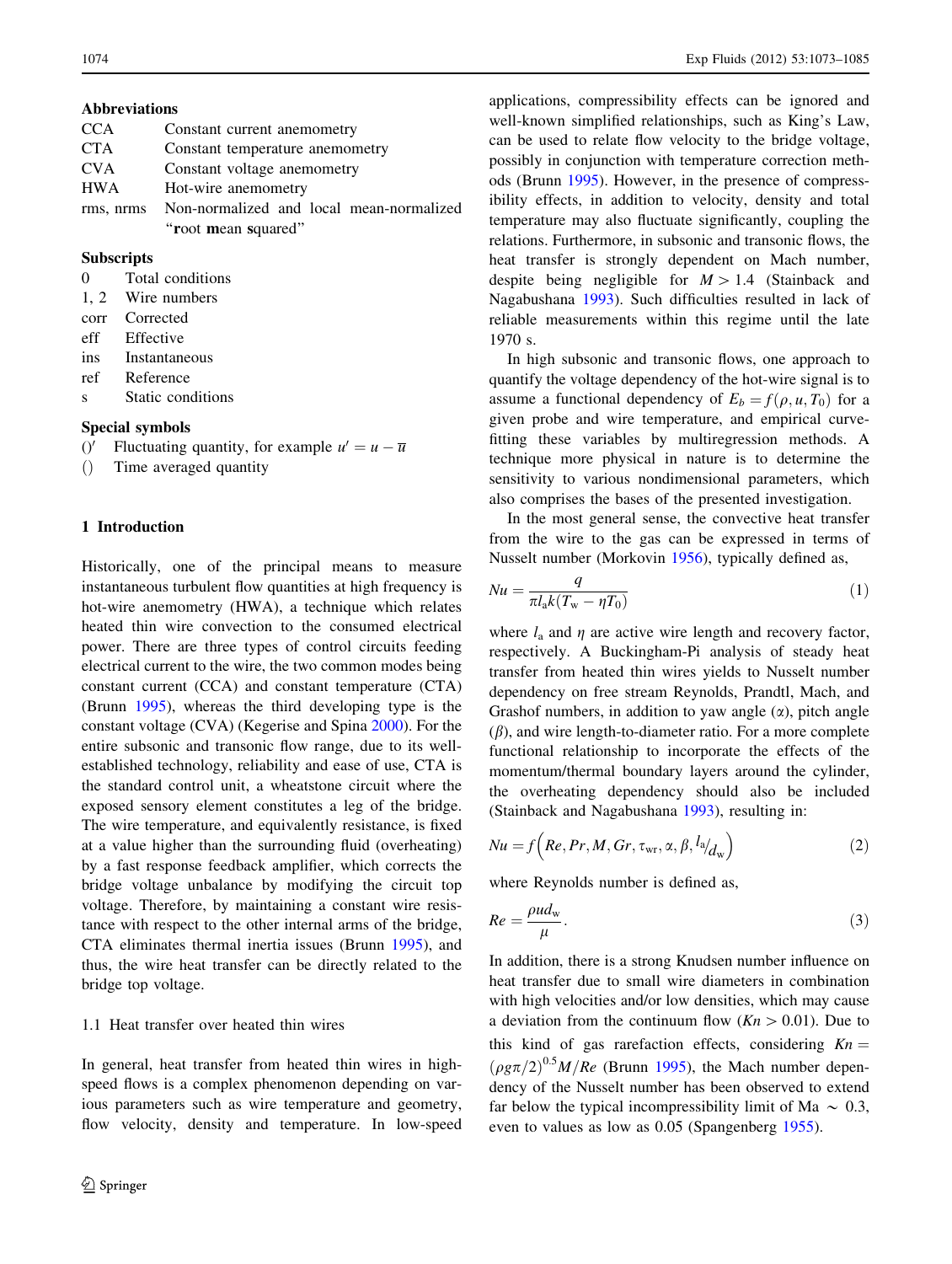## <span id="page-1-0"></span>Abbreviations

| <b>CCA</b> | Constant current anemometry              |  |  |  |  |  |  |  |
|------------|------------------------------------------|--|--|--|--|--|--|--|
| <b>CTA</b> | Constant temperature anemometry          |  |  |  |  |  |  |  |
| <b>CVA</b> | Constant voltage anemometry              |  |  |  |  |  |  |  |
| <b>HWA</b> | Hot-wire anemometry                      |  |  |  |  |  |  |  |
| rms, nrms  | Non-normalized and local mean-normalized |  |  |  |  |  |  |  |
|            | "root mean squared"                      |  |  |  |  |  |  |  |
|            |                                          |  |  |  |  |  |  |  |

- **Subscripts**
- 0 Total conditions
- 1, 2 Wire numbers corr Corrected
- eff Effective
- ins Instantaneous
- ref Reference
- s Static conditions

# Special symbols

- $()'$  Fluctuating quantity, for example  $u' = u \overline{u}$
- () Time averaged quantity

# 1 Introduction

Historically, one of the principal means to measure instantaneous turbulent flow quantities at high frequency is hot-wire anemometry (HWA), a technique which relates heated thin wire convection to the consumed electrical power. There are three types of control circuits feeding electrical current to the wire, the two common modes being constant current (CCA) and constant temperature (CTA) (Brunn [1995](#page-11-0)), whereas the third developing type is the constant voltage (CVA) (Kegerise and Spina [2000](#page-11-0)). For the entire subsonic and transonic flow range, due to its wellestablished technology, reliability and ease of use, CTA is the standard control unit, a wheatstone circuit where the exposed sensory element constitutes a leg of the bridge. The wire temperature, and equivalently resistance, is fixed at a value higher than the surrounding fluid (overheating) by a fast response feedback amplifier, which corrects the bridge voltage unbalance by modifying the circuit top voltage. Therefore, by maintaining a constant wire resistance with respect to the other internal arms of the bridge, CTA eliminates thermal inertia issues (Brunn [1995\)](#page-11-0), and thus, the wire heat transfer can be directly related to the bridge top voltage.

# 1.1 Heat transfer over heated thin wires

In general, heat transfer from heated thin wires in highspeed flows is a complex phenomenon depending on various parameters such as wire temperature and geometry, flow velocity, density and temperature. In low-speed applications, compressibility effects can be ignored and well-known simplified relationships, such as King's Law, can be used to relate flow velocity to the bridge voltage, possibly in conjunction with temperature correction methods (Brunn [1995\)](#page-11-0). However, in the presence of compressibility effects, in addition to velocity, density and total temperature may also fluctuate significantly, coupling the relations. Furthermore, in subsonic and transonic flows, the heat transfer is strongly dependent on Mach number, despite being negligible for  $M > 1.4$  (Stainback and Nagabushana [1993](#page-12-0)). Such difficulties resulted in lack of reliable measurements within this regime until the late 1970 s.

In high subsonic and transonic flows, one approach to quantify the voltage dependency of the hot-wire signal is to assume a functional dependency of  $E_b = f(\rho, u, T_0)$  for a given probe and wire temperature, and empirical curvefitting these variables by multiregression methods. A technique more physical in nature is to determine the sensitivity to various nondimensional parameters, which also comprises the bases of the presented investigation.

In the most general sense, the convective heat transfer from the wire to the gas can be expressed in terms of Nusselt number (Morkovin [1956\)](#page-12-0), typically defined as,

$$
Nu = \frac{q}{\pi l_a k (T_w - \eta T_0)}\tag{1}
$$

where  $l_a$  and  $\eta$  are active wire length and recovery factor, respectively. A Buckingham-Pi analysis of steady heat transfer from heated thin wires yields to Nusselt number dependency on free stream Reynolds, Prandtl, Mach, and Grashof numbers, in addition to yaw angle  $(\alpha)$ , pitch angle  $(\beta)$ , and wire length-to-diameter ratio. For a more complete functional relationship to incorporate the effects of the momentum/thermal boundary layers around the cylinder, the overheating dependency should also be included (Stainback and Nagabushana [1993](#page-12-0)), resulting in:

$$
Nu = f\left(Re, Pr, M, Gr, \tau_{wr}, \alpha, \beta, \frac{l_a}{d_w}\right) \tag{2}
$$

where Reynolds number is defined as,

$$
Re = \frac{\rho u d_{\rm w}}{\mu}.
$$
 (3)

In addition, there is a strong Knudsen number influence on heat transfer due to small wire diameters in combination with high velocities and/or low densities, which may cause a deviation from the continuum flow  $(Kn > 0.01)$ . Due to this kind of gas rarefaction effects, considering  $Kn =$  $(\rho g \pi/2)^{0.5} M/Re$  (Brunn [1995\)](#page-11-0), the Mach number dependency of the Nusselt number has been observed to extend far below the typical incompressibility limit of Ma  $\sim 0.3$ , even to values as low as 0.05 (Spangenberg [1955\)](#page-12-0).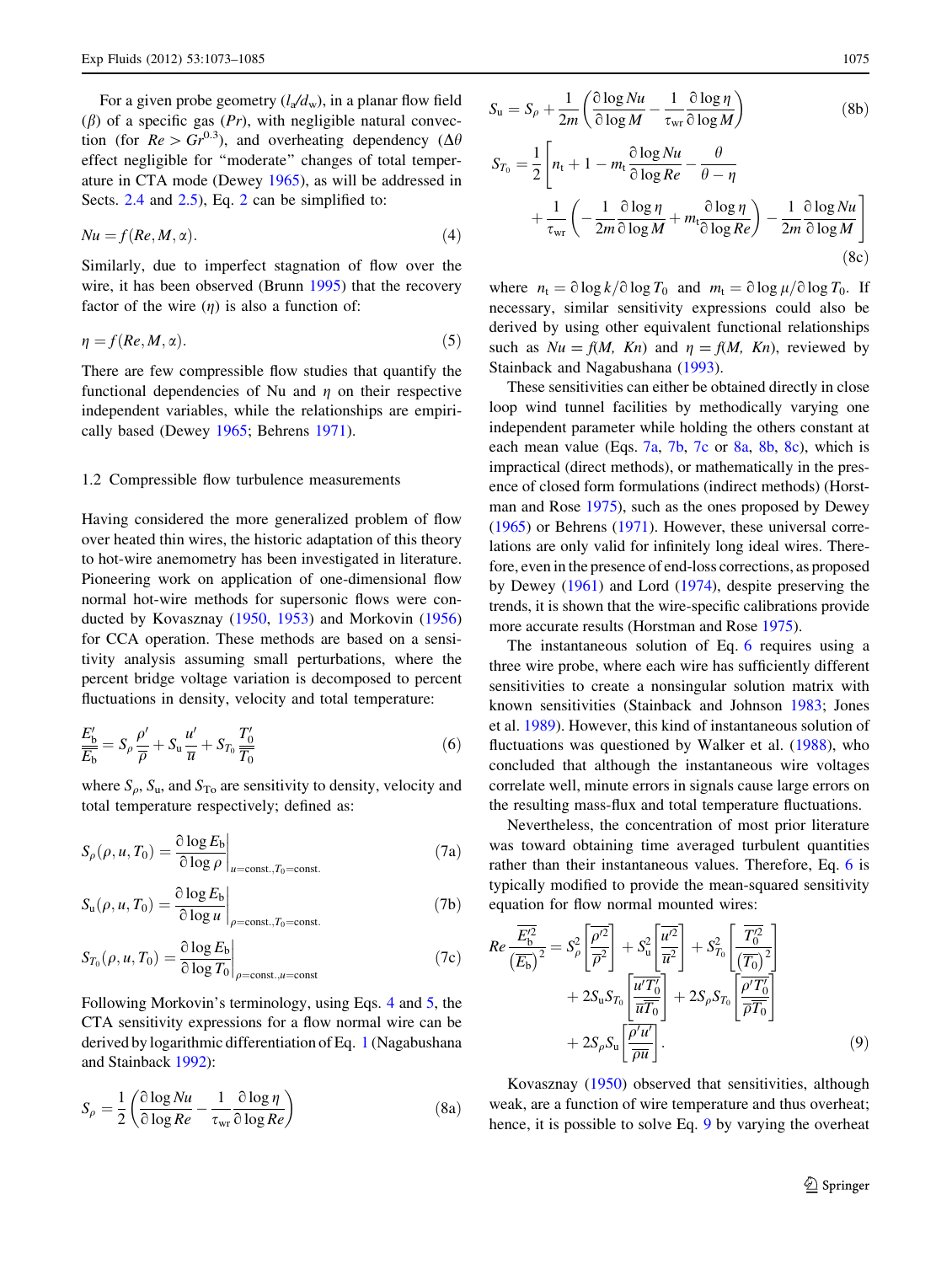<span id="page-2-0"></span>For a given probe geometry  $(l_{\alpha}/d_{\rm w})$ , in a planar flow field  $(\beta)$  of a specific gas (Pr), with negligible natural convection (for  $Re > Gr^{0.3}$ ), and overheating dependency ( $\Delta\theta$ ) effect negligible for ''moderate'' changes of total temperature in CTA mode (Dewey [1965\)](#page-11-0), as will be addressed in Sects. [2.4](#page-6-0) and [2.5\)](#page-6-0), Eq. [2](#page-1-0) can be simplified to:

$$
Nu = f(Re, M, \alpha). \tag{4}
$$

Similarly, due to imperfect stagnation of flow over the wire, it has been observed (Brunn [1995](#page-11-0)) that the recovery factor of the wire  $(\eta)$  is also a function of:

$$
\eta = f(Re, M, \alpha). \tag{5}
$$

There are few compressible flow studies that quantify the functional dependencies of Nu and  $\eta$  on their respective independent variables, while the relationships are empirically based (Dewey [1965;](#page-11-0) Behrens [1971](#page-11-0)).

#### 1.2 Compressible flow turbulence measurements

Having considered the more generalized problem of flow over heated thin wires, the historic adaptation of this theory to hot-wire anemometry has been investigated in literature. Pioneering work on application of one-dimensional flow normal hot-wire methods for supersonic flows were conducted by Kovasznay ([1950,](#page-11-0) [1953](#page-11-0)) and Morkovin ([1956\)](#page-12-0) for CCA operation. These methods are based on a sensitivity analysis assuming small perturbations, where the percent bridge voltage variation is decomposed to percent fluctuations in density, velocity and total temperature:

$$
\frac{E'_{\rm b}}{\overline{E}_{\rm b}} = S_{\rho} \frac{\rho'}{\overline{\rho}} + S_{\rm u} \frac{u'}{\overline{u}} + S_{T_0} \frac{T_0'}{\overline{T_0}} \tag{6}
$$

where  $S_{\alpha}$ ,  $S_{\mu}$ , and  $S_{\tau}$  are sensitivity to density, velocity and total temperature respectively; defined as:

$$
S_{\rho}(\rho, u, T_0) = \frac{\partial \log E_b}{\partial \log \rho} \bigg|_{u = \text{const.}, T_0 = \text{const.}} \tag{7a}
$$

$$
S_{\mathbf{u}}(\rho, u, T_0) = \frac{\partial \log E_{\mathbf{b}}}{\partial \log u}\bigg|_{\rho = \text{const.}, T_0 = \text{const.}} \tag{7b}
$$

$$
S_{T_0}(\rho, u, T_0) = \frac{\partial \log E_b}{\partial \log T_0} \bigg|_{\rho = \text{const.}, u = \text{const.}}
$$
(7c)

Following Morkovin's terminology, using Eqs. 4 and 5, the CTA sensitivity expressions for a flow normal wire can be derived by logarithmic differentiation of Eq. [1](#page-1-0) (Nagabushana and Stainback [1992](#page-12-0)):

$$
S_{\rho} = \frac{1}{2} \left( \frac{\partial \log Nu}{\partial \log Re} - \frac{1}{\tau_{\rm wr}} \frac{\partial \log \eta}{\partial \log Re} \right)
$$
 (8a)

$$
S_{\rm u} = S_{\rho} + \frac{1}{2m} \left( \frac{\partial \log Nu}{\partial \log M} - \frac{1}{\tau_{\rm wr}} \frac{\partial \log \eta}{\partial \log M} \right)
$$
(8b)  

$$
S_{T_{0}} = \frac{1}{2} \left[ n_{\rm t} + 1 - m_{\rm t} \frac{\partial \log Nu}{\partial \log Re} - \frac{\theta}{\theta - \eta} + \frac{1}{\tau_{\rm wr}} \left( -\frac{1}{2m} \frac{\partial \log \eta}{\partial \log M} + m_{\rm t} \frac{\partial \log \eta}{\partial \log Re} \right) - \frac{1}{2m} \frac{\partial \log Nu}{\partial \log M} \right]
$$
(8c)

where  $n_t = \partial \log k / \partial \log T_0$  and  $m_t = \partial \log \mu / \partial \log T_0$ . If necessary, similar sensitivity expressions could also be derived by using other equivalent functional relationships such as  $Nu = f(M, Kn)$  and  $\eta = f(M, Kn)$ , reviewed by Stainback and Nagabushana [\(1993](#page-12-0)).

These sensitivities can either be obtained directly in close loop wind tunnel facilities by methodically varying one independent parameter while holding the others constant at each mean value (Eqs. 7a, 7b, 7c or 8a, 8b, 8c), which is impractical (direct methods), or mathematically in the presence of closed form formulations (indirect methods) (Horstman and Rose [1975](#page-11-0)), such as the ones proposed by Dewey [\(1965](#page-11-0)) or Behrens [\(1971](#page-11-0)). However, these universal correlations are only valid for infinitely long ideal wires. Therefore, even in the presence of end-loss corrections, as proposed by Dewey ([1961\)](#page-11-0) and Lord ([1974](#page-11-0)), despite preserving the trends, it is shown that the wire-specific calibrations provide more accurate results (Horstman and Rose [1975](#page-11-0)).

The instantaneous solution of Eq. 6 requires using a three wire probe, where each wire has sufficiently different sensitivities to create a nonsingular solution matrix with known sensitivities (Stainback and Johnson [1983](#page-12-0); Jones et al. [1989\)](#page-11-0). However, this kind of instantaneous solution of fluctuations was questioned by Walker et al. ([1988\)](#page-12-0), who concluded that although the instantaneous wire voltages correlate well, minute errors in signals cause large errors on the resulting mass-flux and total temperature fluctuations.

Nevertheless, the concentration of most prior literature was toward obtaining time averaged turbulent quantities rather than their instantaneous values. Therefore, Eq. 6 is typically modified to provide the mean-squared sensitivity equation for flow normal mounted wires:

$$
Re \frac{\overline{E_b^2}}{(\overline{E_b})^2} = S_\rho^2 \left[ \frac{\overline{\rho'^2}}{\overline{\rho}^2} \right] + S_u^2 \left[ \frac{\overline{u'^2}}{\overline{u}^2} \right] + S_{T_0}^2 \left[ \frac{\overline{T_0'^2}}{(\overline{T_0})^2} \right] + 2S_u S_{T_0} \left[ \frac{\overline{u'T_0'}}{\overline{uT_0}} \right] + 2S_\rho S_{T_0} \left[ \frac{\overline{\rho'T_0'}}{\overline{\rho T_0}} \right] + 2S_\rho S_u \left[ \frac{\overline{\rho'u'}}{\overline{\rho u}} \right].
$$
 (9)

Kovasznay [\(1950](#page-11-0)) observed that sensitivities, although weak, are a function of wire temperature and thus overheat; hence, it is possible to solve Eq. 9 by varying the overheat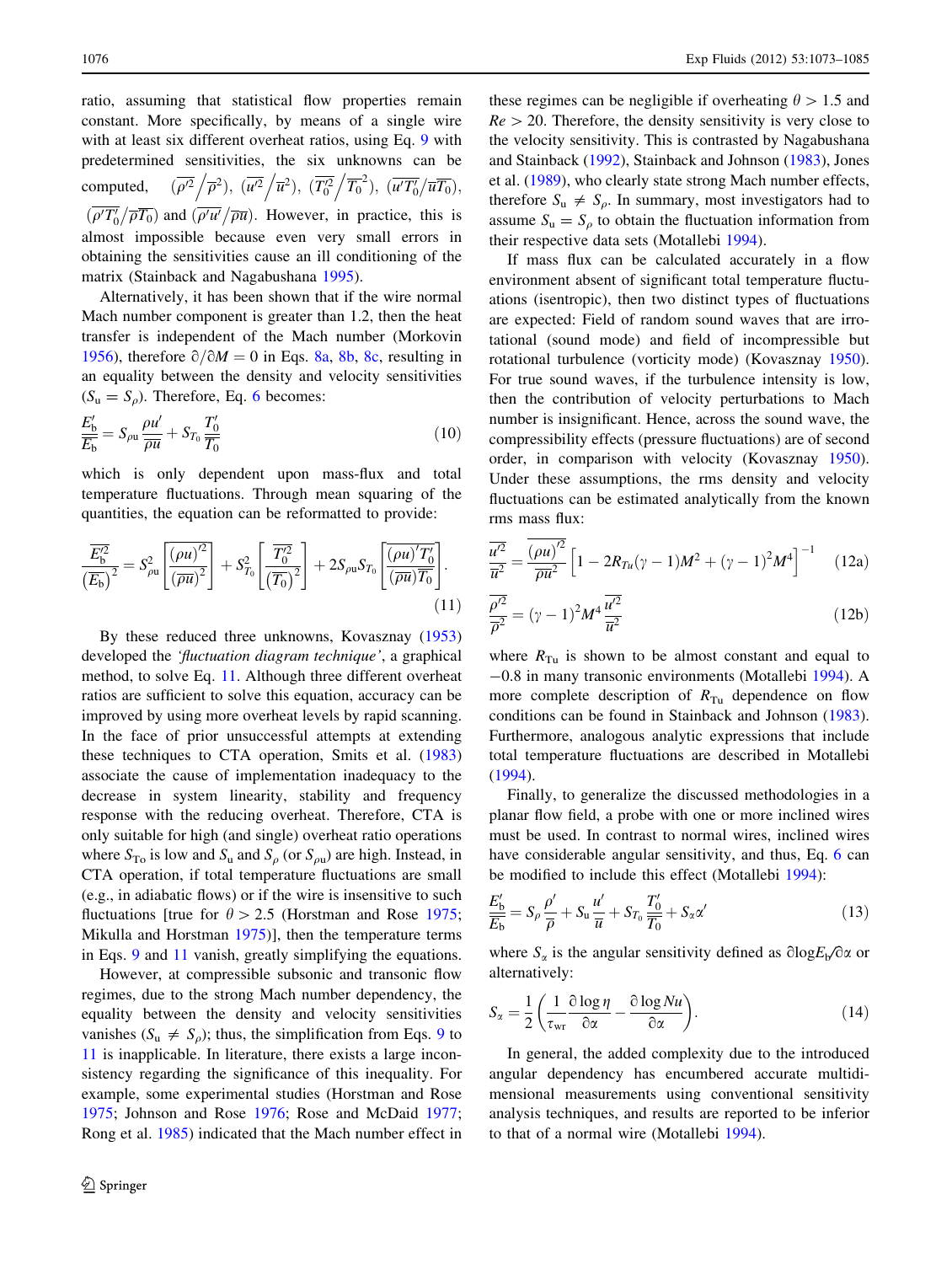<span id="page-3-0"></span>ratio, assuming that statistical flow properties remain constant. More specifically, by means of a single wire with at least six different overheat ratios, using Eq. [9](#page-2-0) with predetermined sensitivities, the six unknowns can be computed,  $\sqrt{\overline{\rho}^2}$ ,  $(\overline{u'^2}/\overline{u}^2)$ ,  $(\overline{T'^2}$ .  $\overline{T_0}^2$ ),  $\overline{(u'T'_0)}$  $\sqrt{\overline{u}\overline{T_0}}$  $(\overline{\rho^\prime T_0^\prime}$  $\sqrt{\overline{\rho}T_0}$  and  $\left(\overline{\rho' u'}/\overline{\rho u}\right)$ . However, in practice, this is almost impossible because even very small errors in obtaining the sensitivities cause an ill conditioning of the matrix (Stainback and Nagabushana [1995\)](#page-12-0).

Alternatively, it has been shown that if the wire normal Mach number component is greater than 1.2, then the heat transfer is independent of the Mach number (Morkovin [1956\)](#page-12-0), therefore  $\partial/\partial M = 0$  in Eqs. [8a](#page-2-0), [8b,](#page-2-0) [8c](#page-2-0), resulting in an equality between the density and velocity sensitivities  $(S_u = S_o)$ . Therefore, Eq. [6](#page-2-0) becomes:

$$
\frac{E'_{\rm b}}{E_{\rm b}} = S_{\rho \rm u} \frac{\rho u'}{\overline{\rho u}} + S_{T_0} \frac{T'_0}{\overline{T_0}}
$$
\n(10)

which is only dependent upon mass-flux and total temperature fluctuations. Through mean squaring of the quantities, the equation can be reformatted to provide:

$$
\frac{\overline{E_{\rm b}^{\prime 2}}}{\left(\overline{E_{\rm b}}\right)^2} = S_{\rho \rm u}^2 \left[ \frac{\left(\rho \mu\right)^{\prime 2}}{\left(\overline{\rho \mu}\right)^2} \right] + S_{T_0}^2 \left[ \frac{\overline{T_0^{\prime 2}}}{\left(\overline{T_0}\right)^2} \right] + 2S_{\rho \rm u} S_{T_0} \left[ \frac{\left(\rho \mu\right)^{\prime} \overline{T_0^{\prime}}}{\left(\overline{\rho \mu}\right) \overline{T_0}} \right]. \tag{11}
$$

By these reduced three unknowns, Kovasznay ([1953\)](#page-11-0) developed the 'fluctuation diagram technique', a graphical method, to solve Eq. 11. Although three different overheat ratios are sufficient to solve this equation, accuracy can be improved by using more overheat levels by rapid scanning. In the face of prior unsuccessful attempts at extending these techniques to CTA operation, Smits et al. ([1983\)](#page-12-0) associate the cause of implementation inadequacy to the decrease in system linearity, stability and frequency response with the reducing overheat. Therefore, CTA is only suitable for high (and single) overheat ratio operations where  $S_{\text{To}}$  is low and  $S_{\text{u}}$  and  $S_{\rho}$  (or  $S_{\rho \text{u}}$ ) are high. Instead, in CTA operation, if total temperature fluctuations are small (e.g., in adiabatic flows) or if the wire is insensitive to such fluctuations [true for  $\theta > 2.5$  (Horstman and Rose [1975](#page-11-0); Mikulla and Horstman [1975\)](#page-12-0)], then the temperature terms in Eqs. [9](#page-2-0) and 11 vanish, greatly simplifying the equations.

However, at compressible subsonic and transonic flow regimes, due to the strong Mach number dependency, the equality between the density and velocity sensitivities vanishes  $(S_u \neq S_o)$ ; thus, the simplification from Eqs. [9](#page-2-0) to 11 is inapplicable. In literature, there exists a large inconsistency regarding the significance of this inequality. For example, some experimental studies (Horstman and Rose [1975;](#page-11-0) Johnson and Rose [1976;](#page-11-0) Rose and McDaid [1977](#page-12-0); Rong et al. [1985](#page-12-0)) indicated that the Mach number effect in these regimes can be negligible if overheating  $\theta > 1.5$  and  $Re > 20$ . Therefore, the density sensitivity is very close to the velocity sensitivity. This is contrasted by Nagabushana and Stainback [\(1992](#page-12-0)), Stainback and Johnson ([1983\)](#page-12-0), Jones et al. [\(1989](#page-11-0)), who clearly state strong Mach number effects, therefore  $S_u \neq S_o$ . In summary, most investigators had to assume  $S_u = S_o$  to obtain the fluctuation information from their respective data sets (Motallebi [1994](#page-12-0)).

If mass flux can be calculated accurately in a flow environment absent of significant total temperature fluctuations (isentropic), then two distinct types of fluctuations are expected: Field of random sound waves that are irrotational (sound mode) and field of incompressible but rotational turbulence (vorticity mode) (Kovasznay [1950](#page-11-0)). For true sound waves, if the turbulence intensity is low, then the contribution of velocity perturbations to Mach number is insignificant. Hence, across the sound wave, the compressibility effects (pressure fluctuations) are of second order, in comparison with velocity (Kovasznay [1950](#page-11-0)). Under these assumptions, the rms density and velocity fluctuations can be estimated analytically from the known rms mass flux:

$$
\frac{\overline{u'^2}}{\overline{u}^2} = \frac{\overline{(\rho u)^2}}{\overline{\rho u}^2} \left[ 1 - 2R_{Tu}(\gamma - 1)M^2 + (\gamma - 1)^2 M^4 \right]^{-1}
$$
 (12a)

$$
\frac{\overline{\rho'^2}}{\overline{\rho}^2} = (\gamma - 1)^2 M^4 \frac{\overline{u'^2}}{\overline{u}^2}
$$
 (12b)

where  $R_{\text{Tu}}$  is shown to be almost constant and equal to -0.8 in many transonic environments (Motallebi [1994](#page-12-0)). A more complete description of  $R_{Tu}$  dependence on flow conditions can be found in Stainback and Johnson [\(1983](#page-12-0)). Furthermore, analogous analytic expressions that include total temperature fluctuations are described in Motallebi [\(1994](#page-12-0)).

Finally, to generalize the discussed methodologies in a planar flow field, a probe with one or more inclined wires must be used. In contrast to normal wires, inclined wires have considerable angular sensitivity, and thus, Eq. [6](#page-2-0) can be modified to include this effect (Motallebi [1994](#page-12-0)):

$$
\frac{E'_{\rm b}}{\overline{E}_{\rm b}} = S_{\rho} \frac{\rho'}{\overline{\rho}} + S_{\rm u} \frac{u'}{\overline{u}} + S_{T_0} \frac{T'_0}{\overline{T_0}} + S_{\alpha} \alpha' \tag{13}
$$

where  $S_{\alpha}$  is the angular sensitivity defined as  $\partial \log E_{\rm b}/\partial \alpha$  or alternatively:

$$
S_{\alpha} = \frac{1}{2} \left( \frac{1}{\tau_{\text{wr}}} \frac{\partial \log \eta}{\partial \alpha} - \frac{\partial \log Nu}{\partial \alpha} \right). \tag{14}
$$

In general, the added complexity due to the introduced angular dependency has encumbered accurate multidimensional measurements using conventional sensitivity analysis techniques, and results are reported to be inferior to that of a normal wire (Motallebi [1994](#page-12-0)).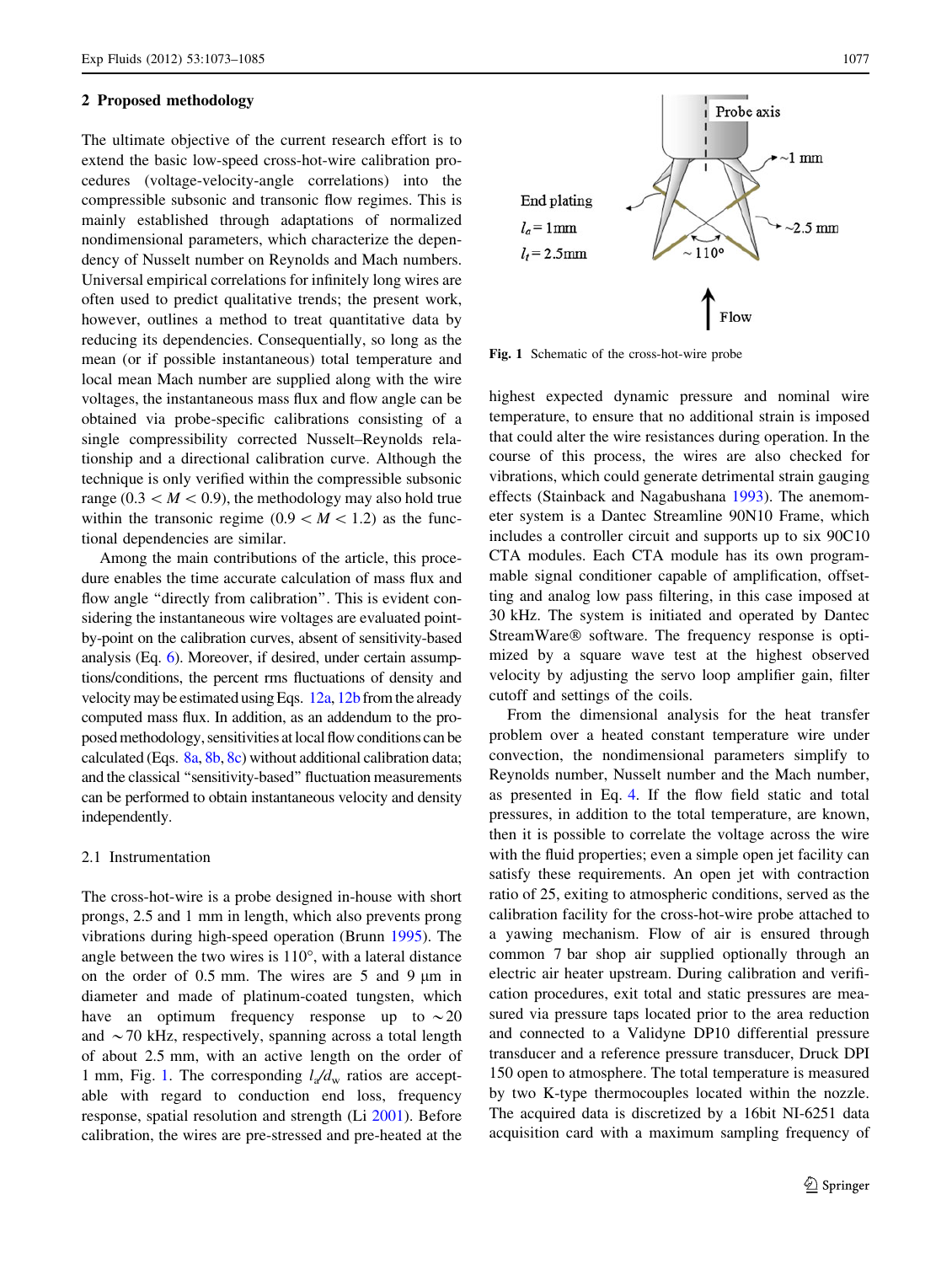## <span id="page-4-0"></span>2 Proposed methodology

The ultimate objective of the current research effort is to extend the basic low-speed cross-hot-wire calibration procedures (voltage-velocity-angle correlations) into the compressible subsonic and transonic flow regimes. This is mainly established through adaptations of normalized nondimensional parameters, which characterize the dependency of Nusselt number on Reynolds and Mach numbers. Universal empirical correlations for infinitely long wires are often used to predict qualitative trends; the present work, however, outlines a method to treat quantitative data by reducing its dependencies. Consequentially, so long as the mean (or if possible instantaneous) total temperature and local mean Mach number are supplied along with the wire voltages, the instantaneous mass flux and flow angle can be obtained via probe-specific calibrations consisting of a single compressibility corrected Nusselt–Reynolds relationship and a directional calibration curve. Although the technique is only verified within the compressible subsonic range  $(0.3 \lt M \lt 0.9)$ , the methodology may also hold true within the transonic regime  $(0.9 < M < 1.2)$  as the functional dependencies are similar.

Among the main contributions of the article, this procedure enables the time accurate calculation of mass flux and flow angle "directly from calibration". This is evident considering the instantaneous wire voltages are evaluated pointby-point on the calibration curves, absent of sensitivity-based analysis (Eq. [6](#page-2-0)). Moreover, if desired, under certain assumptions/conditions, the percent rms fluctuations of density and velocity may be estimated using Eqs. [12a](#page-3-0), [12b](#page-3-0) from the already computed mass flux. In addition, as an addendum to the proposed methodology, sensitivities at local flow conditions can be calculated (Eqs. [8a](#page-2-0), [8b,](#page-2-0) [8c](#page-2-0)) without additional calibration data; and the classical ''sensitivity-based'' fluctuation measurements can be performed to obtain instantaneous velocity and density independently.

## 2.1 Instrumentation

The cross-hot-wire is a probe designed in-house with short prongs, 2.5 and 1 mm in length, which also prevents prong vibrations during high-speed operation (Brunn [1995](#page-11-0)). The angle between the two wires is  $110^{\circ}$ , with a lateral distance on the order of  $0.5$  mm. The wires are  $5$  and  $9 \mu m$  in diameter and made of platinum-coated tungsten, which have an optimum frequency response up to  $\sim 20$ and  $\sim$  70 kHz, respectively, spanning across a total length of about 2.5 mm, with an active length on the order of 1 mm, Fig. 1. The corresponding  $l_{\alpha}/d_{\rm w}$  ratios are acceptable with regard to conduction end loss, frequency response, spatial resolution and strength (Li [2001\)](#page-11-0). Before calibration, the wires are pre-stressed and pre-heated at the



Fig. 1 Schematic of the cross-hot-wire probe

highest expected dynamic pressure and nominal wire temperature, to ensure that no additional strain is imposed that could alter the wire resistances during operation. In the course of this process, the wires are also checked for vibrations, which could generate detrimental strain gauging effects (Stainback and Nagabushana [1993\)](#page-12-0). The anemometer system is a Dantec Streamline 90N10 Frame, which includes a controller circuit and supports up to six 90C10 CTA modules. Each CTA module has its own programmable signal conditioner capable of amplification, offsetting and analog low pass filtering, in this case imposed at 30 kHz. The system is initiated and operated by Dantec StreamWare<sup>®</sup> software. The frequency response is optimized by a square wave test at the highest observed velocity by adjusting the servo loop amplifier gain, filter cutoff and settings of the coils.

From the dimensional analysis for the heat transfer problem over a heated constant temperature wire under convection, the nondimensional parameters simplify to Reynolds number, Nusselt number and the Mach number, as presented in Eq. [4.](#page-2-0) If the flow field static and total pressures, in addition to the total temperature, are known, then it is possible to correlate the voltage across the wire with the fluid properties; even a simple open jet facility can satisfy these requirements. An open jet with contraction ratio of 25, exiting to atmospheric conditions, served as the calibration facility for the cross-hot-wire probe attached to a yawing mechanism. Flow of air is ensured through common 7 bar shop air supplied optionally through an electric air heater upstream. During calibration and verification procedures, exit total and static pressures are measured via pressure taps located prior to the area reduction and connected to a Validyne DP10 differential pressure transducer and a reference pressure transducer, Druck DPI 150 open to atmosphere. The total temperature is measured by two K-type thermocouples located within the nozzle. The acquired data is discretized by a 16bit NI-6251 data acquisition card with a maximum sampling frequency of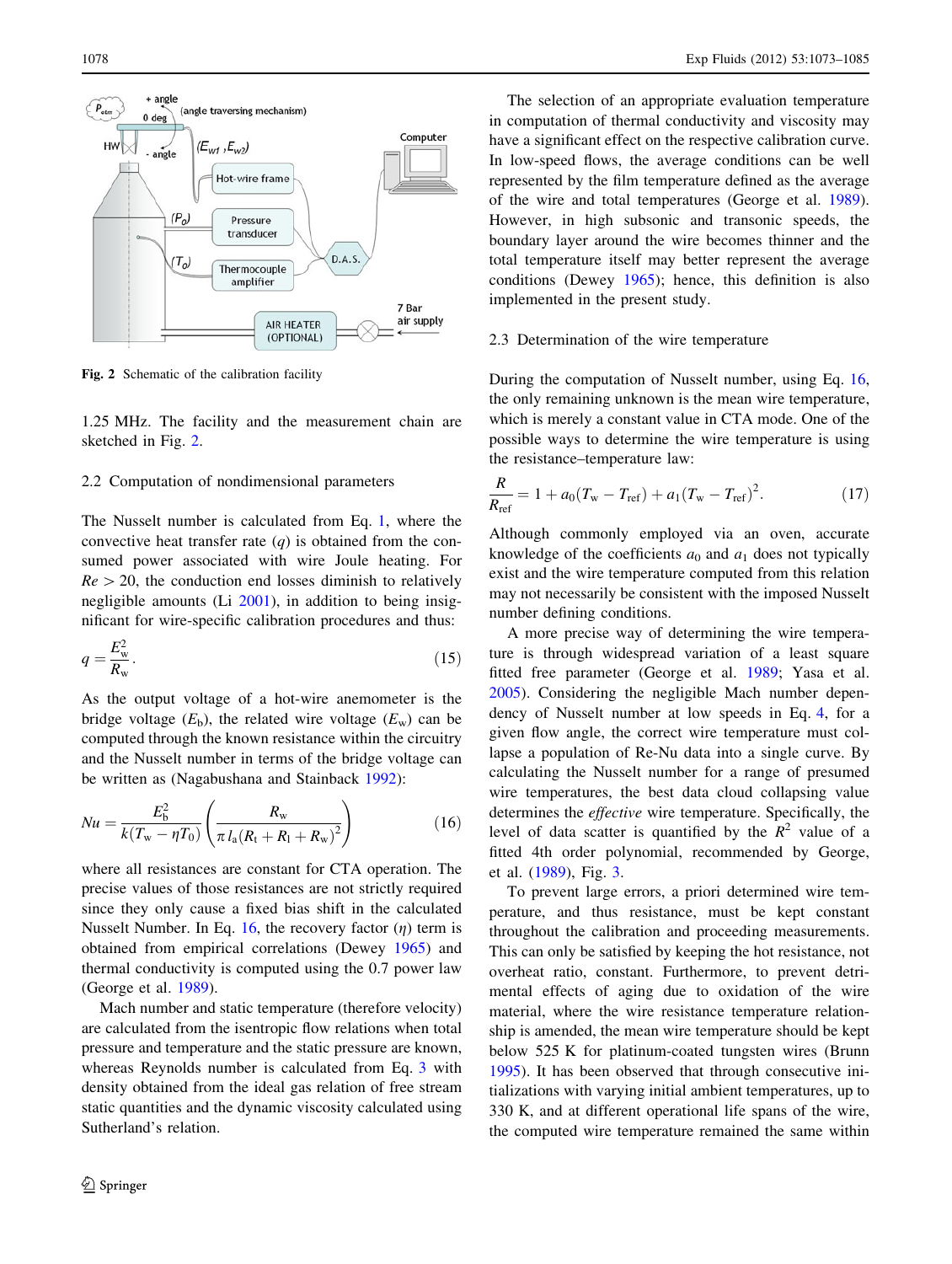<span id="page-5-0"></span>

Fig. 2 Schematic of the calibration facility

1.25 MHz. The facility and the measurement chain are sketched in Fig. 2.

## 2.2 Computation of nondimensional parameters

The Nusselt number is calculated from Eq. [1](#page-1-0), where the convective heat transfer rate  $(q)$  is obtained from the consumed power associated with wire Joule heating. For  $Re > 20$ , the conduction end losses diminish to relatively negligible amounts (Li [2001\)](#page-11-0), in addition to being insignificant for wire-specific calibration procedures and thus:

$$
q = \frac{E_{\rm w}^2}{R_{\rm w}}.\tag{15}
$$

As the output voltage of a hot-wire anemometer is the bridge voltage  $(E_b)$ , the related wire voltage  $(E_w)$  can be computed through the known resistance within the circuitry and the Nusselt number in terms of the bridge voltage can be written as (Nagabushana and Stainback [1992](#page-12-0)):

$$
Nu = \frac{E_{\rm b}^2}{k(T_{\rm w} - \eta T_0)} \left(\frac{R_{\rm w}}{\pi l_{\rm a}(R_{\rm t} + R_{\rm l} + R_{\rm w})^2}\right) \tag{16}
$$

where all resistances are constant for CTA operation. The precise values of those resistances are not strictly required since they only cause a fixed bias shift in the calculated Nusselt Number. In Eq. 16, the recovery factor  $(\eta)$  term is obtained from empirical correlations (Dewey [1965](#page-11-0)) and thermal conductivity is computed using the 0.7 power law (George et al. [1989\)](#page-11-0).

Mach number and static temperature (therefore velocity) are calculated from the isentropic flow relations when total pressure and temperature and the static pressure are known, whereas Reynolds number is calculated from Eq. [3](#page-1-0) with density obtained from the ideal gas relation of free stream static quantities and the dynamic viscosity calculated using Sutherland's relation.

The selection of an appropriate evaluation temperature in computation of thermal conductivity and viscosity may have a significant effect on the respective calibration curve. In low-speed flows, the average conditions can be well represented by the film temperature defined as the average of the wire and total temperatures (George et al. [1989](#page-11-0)). However, in high subsonic and transonic speeds, the boundary layer around the wire becomes thinner and the total temperature itself may better represent the average conditions (Dewey [1965](#page-11-0)); hence, this definition is also implemented in the present study.

## 2.3 Determination of the wire temperature

During the computation of Nusselt number, using Eq. 16, the only remaining unknown is the mean wire temperature, which is merely a constant value in CTA mode. One of the possible ways to determine the wire temperature is using the resistance–temperature law:

$$
\frac{R}{R_{\rm ref}} = 1 + a_0 (T_{\rm w} - T_{\rm ref}) + a_1 (T_{\rm w} - T_{\rm ref})^2.
$$
 (17)

Although commonly employed via an oven, accurate knowledge of the coefficients  $a_0$  and  $a_1$  does not typically exist and the wire temperature computed from this relation may not necessarily be consistent with the imposed Nusselt number defining conditions.

A more precise way of determining the wire temperature is through widespread variation of a least square fitted free parameter (George et al. [1989](#page-11-0); Yasa et al. [2005](#page-12-0)). Considering the negligible Mach number dependency of Nusselt number at low speeds in Eq. [4](#page-2-0), for a given flow angle, the correct wire temperature must collapse a population of Re-Nu data into a single curve. By calculating the Nusselt number for a range of presumed wire temperatures, the best data cloud collapsing value determines the effective wire temperature. Specifically, the level of data scatter is quantified by the  $R^2$  value of a fitted 4th order polynomial, recommended by George, et al. [\(1989](#page-11-0)), Fig. [3](#page-6-0).

To prevent large errors, a priori determined wire temperature, and thus resistance, must be kept constant throughout the calibration and proceeding measurements. This can only be satisfied by keeping the hot resistance, not overheat ratio, constant. Furthermore, to prevent detrimental effects of aging due to oxidation of the wire material, where the wire resistance temperature relationship is amended, the mean wire temperature should be kept below 525 K for platinum-coated tungsten wires (Brunn [1995](#page-11-0)). It has been observed that through consecutive initializations with varying initial ambient temperatures, up to 330 K, and at different operational life spans of the wire, the computed wire temperature remained the same within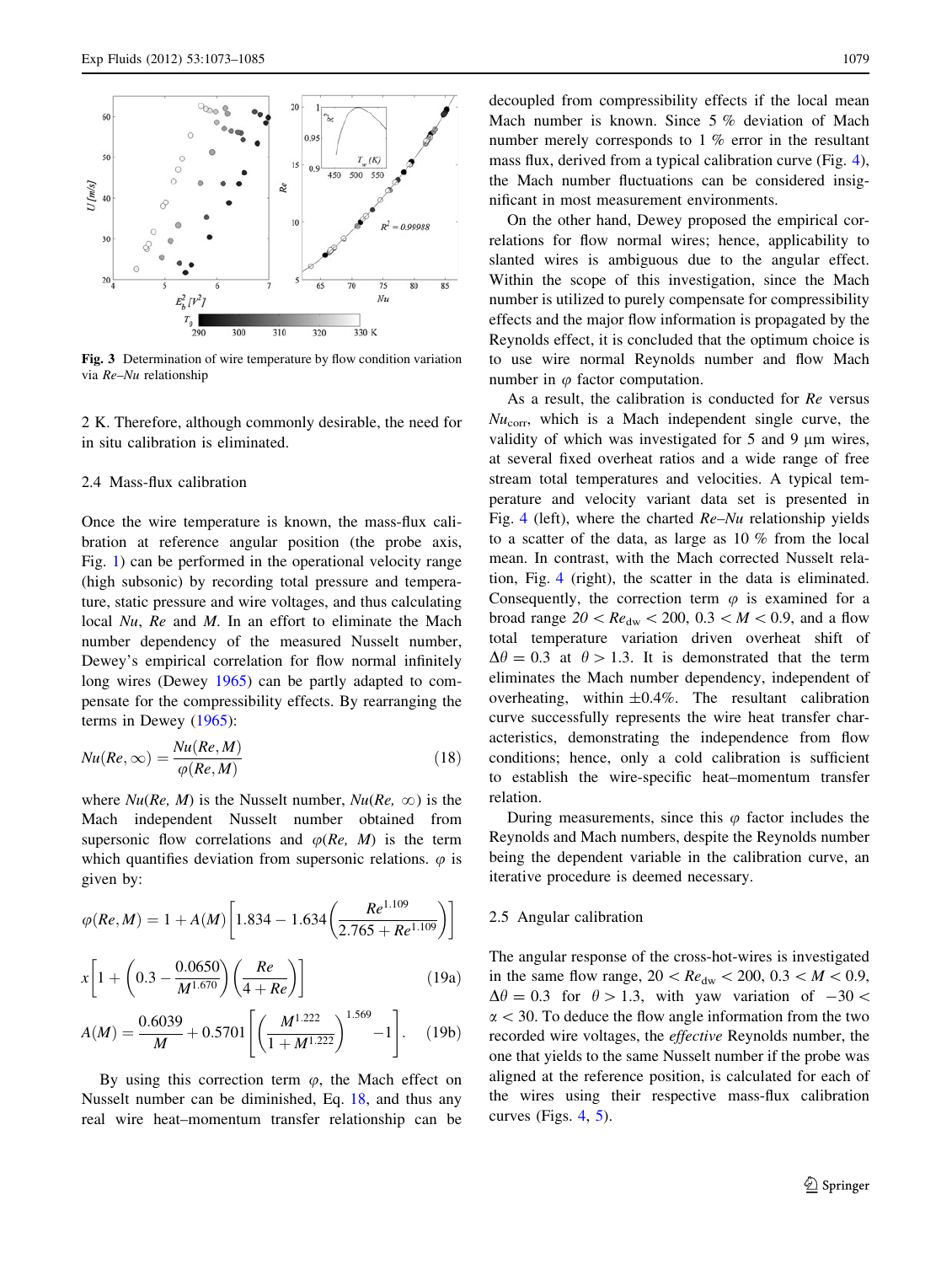<span id="page-6-0"></span>

Fig. 3 Determination of wire temperature by flow condition variation via Re–Nu relationship

2 K. Therefore, although commonly desirable, the need for in situ calibration is eliminated.

# 2.4 Mass-flux calibration

Once the wire temperature is known, the mass-flux calibration at reference angular position (the probe axis, Fig. [1](#page-4-0)) can be performed in the operational velocity range (high subsonic) by recording total pressure and temperature, static pressure and wire voltages, and thus calculating local Nu, Re and M. In an effort to eliminate the Mach number dependency of the measured Nusselt number, Dewey's empirical correlation for flow normal infinitely long wires (Dewey [1965](#page-11-0)) can be partly adapted to compensate for the compressibility effects. By rearranging the terms in Dewey ([1965\)](#page-11-0):

$$
Nu(Re, \infty) = \frac{Nu(Re, M)}{\varphi(Re, M)}
$$
\n(18)

where  $Nu(Re, M)$  is the Nusselt number,  $Nu(Re, \infty)$  is the Mach independent Nusselt number obtained from supersonic flow correlations and  $\varphi(Re, M)$  is the term which quantifies deviation from supersonic relations.  $\varphi$  is given by:

$$
\varphi(Re, M) = 1 + A(M) \left[ 1.834 - 1.634 \left( \frac{Re^{1.109}}{2.765 + Re^{1.109}} \right) \right]
$$

$$
x \left[ 1 + \left( 0.3 - \frac{0.0650}{M^{1.670}} \right) \left( \frac{Re}{4 + Re} \right) \right]
$$
(19a)

$$
A(M) = \frac{0.6039}{M} + 0.5701 \left[ \left( \frac{M^{1.222}}{1 + M^{1.222}} \right)^{1.569} - 1 \right].
$$
 (19b)

By using this correction term  $\varphi$ , the Mach effect on Nusselt number can be diminished, Eq. 18, and thus any real wire heat–momentum transfer relationship can be decoupled from compressibility effects if the local mean Mach number is known. Since 5 % deviation of Mach number merely corresponds to 1 % error in the resultant mass flux, derived from a typical calibration curve (Fig. [4](#page-7-0)), the Mach number fluctuations can be considered insignificant in most measurement environments.

On the other hand, Dewey proposed the empirical correlations for flow normal wires; hence, applicability to slanted wires is ambiguous due to the angular effect. Within the scope of this investigation, since the Mach number is utilized to purely compensate for compressibility effects and the major flow information is propagated by the Reynolds effect, it is concluded that the optimum choice is to use wire normal Reynolds number and flow Mach number in  $\varphi$  factor computation.

As a result, the calibration is conducted for Re versus  $Nu<sub>corr</sub>$ , which is a Mach independent single curve, the validity of which was investigated for  $5$  and  $9 \mu m$  wires, at several fixed overheat ratios and a wide range of free stream total temperatures and velocities. A typical temperature and velocity variant data set is presented in Fig. [4](#page-7-0) (left), where the charted  $Re-Nu$  relationship yields to a scatter of the data, as large as 10 % from the local mean. In contrast, with the Mach corrected Nusselt relation, Fig. [4](#page-7-0) (right), the scatter in the data is eliminated. Consequently, the correction term  $\varphi$  is examined for a broad range  $20 < Re_{\text{dw}} < 200, 0.3 < M < 0.9$ , and a flow total temperature variation driven overheat shift of  $\Delta\theta = 0.3$  at  $\theta > 1.3$ . It is demonstrated that the term eliminates the Mach number dependency, independent of overheating, within  $\pm 0.4\%$ . The resultant calibration curve successfully represents the wire heat transfer characteristics, demonstrating the independence from flow conditions; hence, only a cold calibration is sufficient to establish the wire-specific heat–momentum transfer relation.

During measurements, since this  $\varphi$  factor includes the Reynolds and Mach numbers, despite the Reynolds number being the dependent variable in the calibration curve, an iterative procedure is deemed necessary.

## 2.5 Angular calibration

The angular response of the cross-hot-wires is investigated in the same flow range,  $20 < Re_{\text{dw}} < 200, 0.3 < M < 0.9$ ,  $\Delta\theta = 0.3$  for  $\theta > 1.3$ , with yaw variation of  $-30 <$  $\alpha$  < 30. To deduce the flow angle information from the two recorded wire voltages, the effective Reynolds number, the one that yields to the same Nusselt number if the probe was aligned at the reference position, is calculated for each of the wires using their respective mass-flux calibration curves (Figs. [4,](#page-7-0) [5\)](#page-7-0).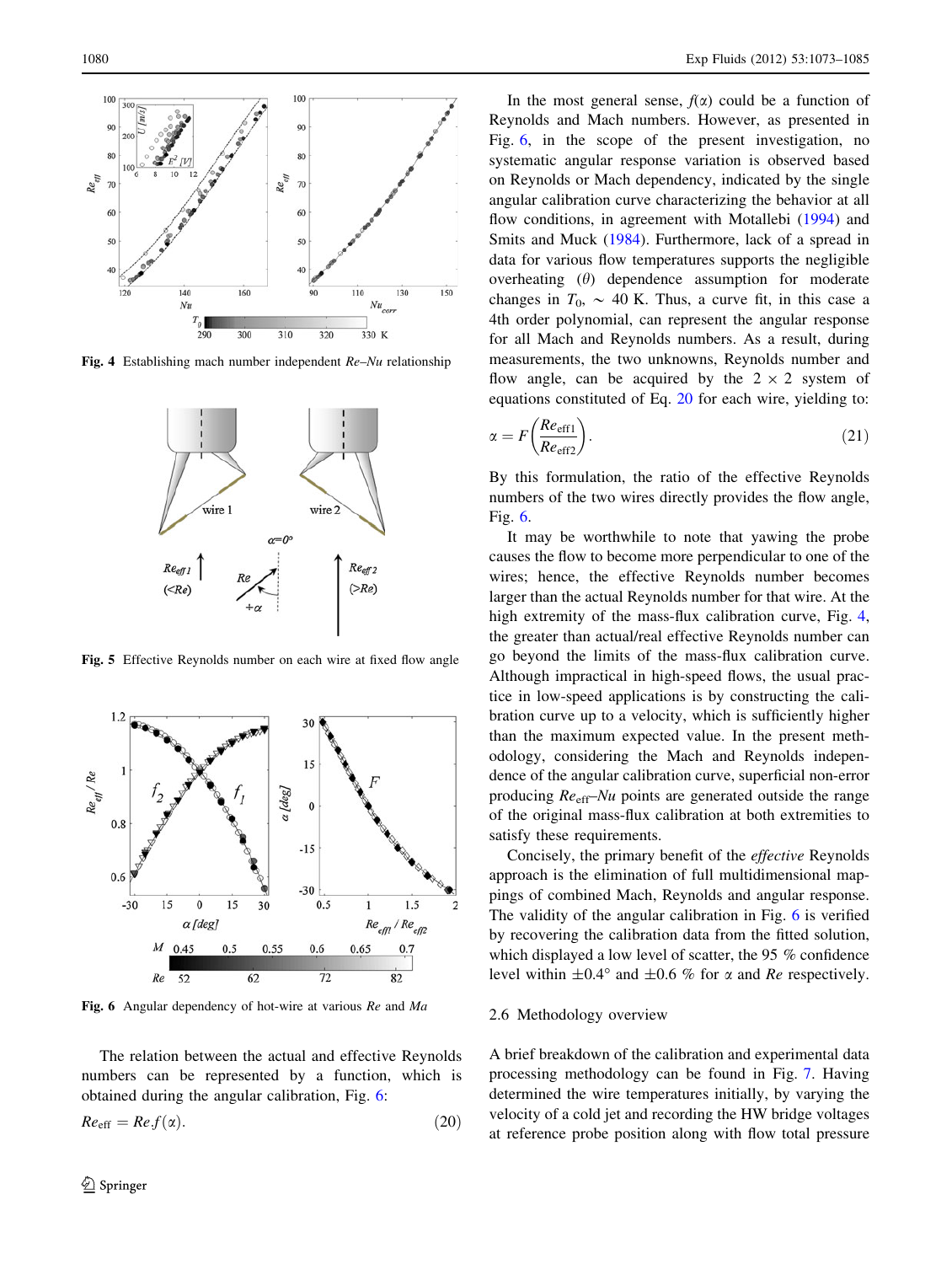<span id="page-7-0"></span>

Fig. 4 Establishing mach number independent Re–Nu relationship



Fig. 5 Effective Reynolds number on each wire at fixed flow angle



Fig. 6 Angular dependency of hot-wire at various Re and Ma

The relation between the actual and effective Reynolds numbers can be represented by a function, which is obtained during the angular calibration, Fig. 6:

$$
Re_{\text{eff}} = Re f(\alpha). \tag{20}
$$

In the most general sense,  $f(x)$  could be a function of Reynolds and Mach numbers. However, as presented in Fig. 6, in the scope of the present investigation, no systematic angular response variation is observed based on Reynolds or Mach dependency, indicated by the single angular calibration curve characterizing the behavior at all flow conditions, in agreement with Motallebi [\(1994](#page-12-0)) and Smits and Muck ([1984\)](#page-12-0). Furthermore, lack of a spread in data for various flow temperatures supports the negligible overheating  $(\theta)$  dependence assumption for moderate changes in  $T_0$ ,  $\sim$  40 K. Thus, a curve fit, in this case a 4th order polynomial, can represent the angular response for all Mach and Reynolds numbers. As a result, during measurements, the two unknowns, Reynolds number and flow angle, can be acquired by the  $2 \times 2$  system of equations constituted of Eq. 20 for each wire, yielding to:

$$
\alpha = F\left(\frac{Re_{\text{eff1}}}{Re_{\text{eff2}}}\right). \tag{21}
$$

By this formulation, the ratio of the effective Reynolds numbers of the two wires directly provides the flow angle, Fig. 6.

It may be worthwhile to note that yawing the probe causes the flow to become more perpendicular to one of the wires; hence, the effective Reynolds number becomes larger than the actual Reynolds number for that wire. At the high extremity of the mass-flux calibration curve, Fig. 4, the greater than actual/real effective Reynolds number can go beyond the limits of the mass-flux calibration curve. Although impractical in high-speed flows, the usual practice in low-speed applications is by constructing the calibration curve up to a velocity, which is sufficiently higher than the maximum expected value. In the present methodology, considering the Mach and Reynolds independence of the angular calibration curve, superficial non-error producing  $Re_{\text{eff}}$ -Nu points are generated outside the range of the original mass-flux calibration at both extremities to satisfy these requirements.

Concisely, the primary benefit of the effective Reynolds approach is the elimination of full multidimensional mappings of combined Mach, Reynolds and angular response. The validity of the angular calibration in Fig. 6 is verified by recovering the calibration data from the fitted solution, which displayed a low level of scatter, the 95 % confidence level within  $\pm 0.4^{\circ}$  and  $\pm 0.6$  % for  $\alpha$  and Re respectively.

#### 2.6 Methodology overview

A brief breakdown of the calibration and experimental data processing methodology can be found in Fig. [7.](#page-8-0) Having determined the wire temperatures initially, by varying the velocity of a cold jet and recording the HW bridge voltages at reference probe position along with flow total pressure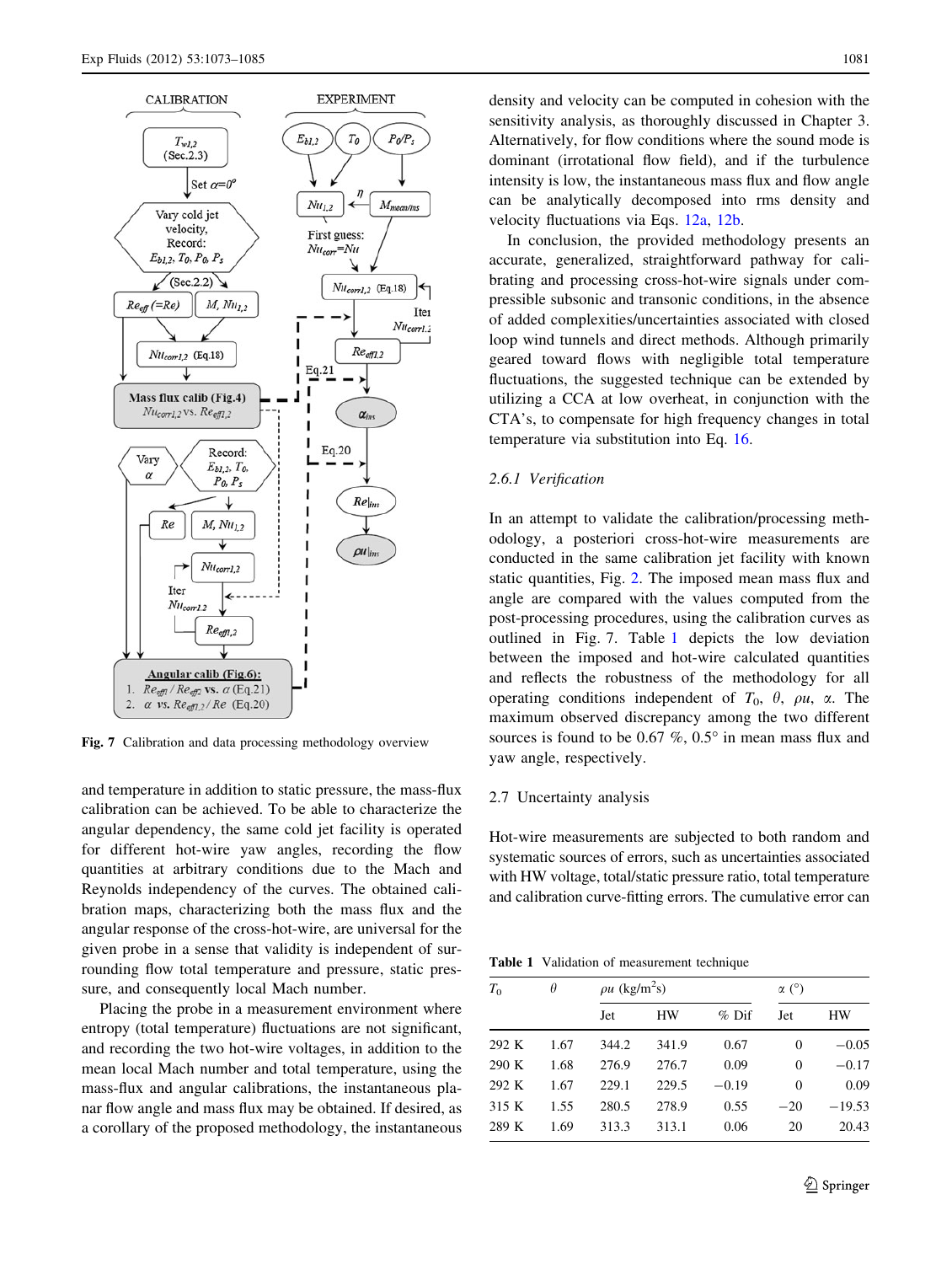<span id="page-8-0"></span>

Fig. 7 Calibration and data processing methodology overview

and temperature in addition to static pressure, the mass-flux calibration can be achieved. To be able to characterize the angular dependency, the same cold jet facility is operated for different hot-wire yaw angles, recording the flow quantities at arbitrary conditions due to the Mach and Reynolds independency of the curves. The obtained calibration maps, characterizing both the mass flux and the angular response of the cross-hot-wire, are universal for the given probe in a sense that validity is independent of surrounding flow total temperature and pressure, static pressure, and consequently local Mach number.

Placing the probe in a measurement environment where entropy (total temperature) fluctuations are not significant, and recording the two hot-wire voltages, in addition to the mean local Mach number and total temperature, using the mass-flux and angular calibrations, the instantaneous planar flow angle and mass flux may be obtained. If desired, as a corollary of the proposed methodology, the instantaneous

density and velocity can be computed in cohesion with the sensitivity analysis, as thoroughly discussed in Chapter 3. Alternatively, for flow conditions where the sound mode is dominant (irrotational flow field), and if the turbulence intensity is low, the instantaneous mass flux and flow angle can be analytically decomposed into rms density and velocity fluctuations via Eqs. [12a,](#page-3-0) [12b](#page-3-0).

In conclusion, the provided methodology presents an accurate, generalized, straightforward pathway for calibrating and processing cross-hot-wire signals under compressible subsonic and transonic conditions, in the absence of added complexities/uncertainties associated with closed loop wind tunnels and direct methods. Although primarily geared toward flows with negligible total temperature fluctuations, the suggested technique can be extended by utilizing a CCA at low overheat, in conjunction with the CTA's, to compensate for high frequency changes in total temperature via substitution into Eq. [16.](#page-5-0)

## 2.6.1 Verification

In an attempt to validate the calibration/processing methodology, a posteriori cross-hot-wire measurements are conducted in the same calibration jet facility with known static quantities, Fig. [2.](#page-5-0) The imposed mean mass flux and angle are compared with the values computed from the post-processing procedures, using the calibration curves as outlined in Fig. 7. Table 1 depicts the low deviation between the imposed and hot-wire calculated quantities and reflects the robustness of the methodology for all operating conditions independent of  $T_0$ ,  $\theta$ ,  $\rho u$ ,  $\alpha$ . The maximum observed discrepancy among the two different sources is found to be  $0.67 \%$ ,  $0.5^{\circ}$  in mean mass flux and yaw angle, respectively.

## 2.7 Uncertainty analysis

Hot-wire measurements are subjected to both random and systematic sources of errors, such as uncertainties associated with HW voltage, total/static pressure ratio, total temperature and calibration curve-fitting errors. The cumulative error can

Table 1 Validation of measurement technique

| $T_0$ | $\theta$ | $\rho u$ (kg/m <sup>2</sup> s) |       | $\alpha$ (°) |          |          |
|-------|----------|--------------------------------|-------|--------------|----------|----------|
|       |          | Jet                            | HW    | $%$ Dif      | Jet      | НW       |
| 292 K | 1.67     | 344.2                          | 341.9 | 0.67         | $\theta$ | $-0.05$  |
| 290 K | 1.68     | 276.9                          | 276.7 | 0.09         | $\Omega$ | $-0.17$  |
| 292 K | 1.67     | 229.1                          | 229.5 | $-0.19$      | $\Omega$ | 0.09     |
| 315 K | 1.55     | 280.5                          | 278.9 | 0.55         | $-20$    | $-19.53$ |
| 289 K | 1.69     | 313.3                          | 313.1 | 0.06         | 20       | 20.43    |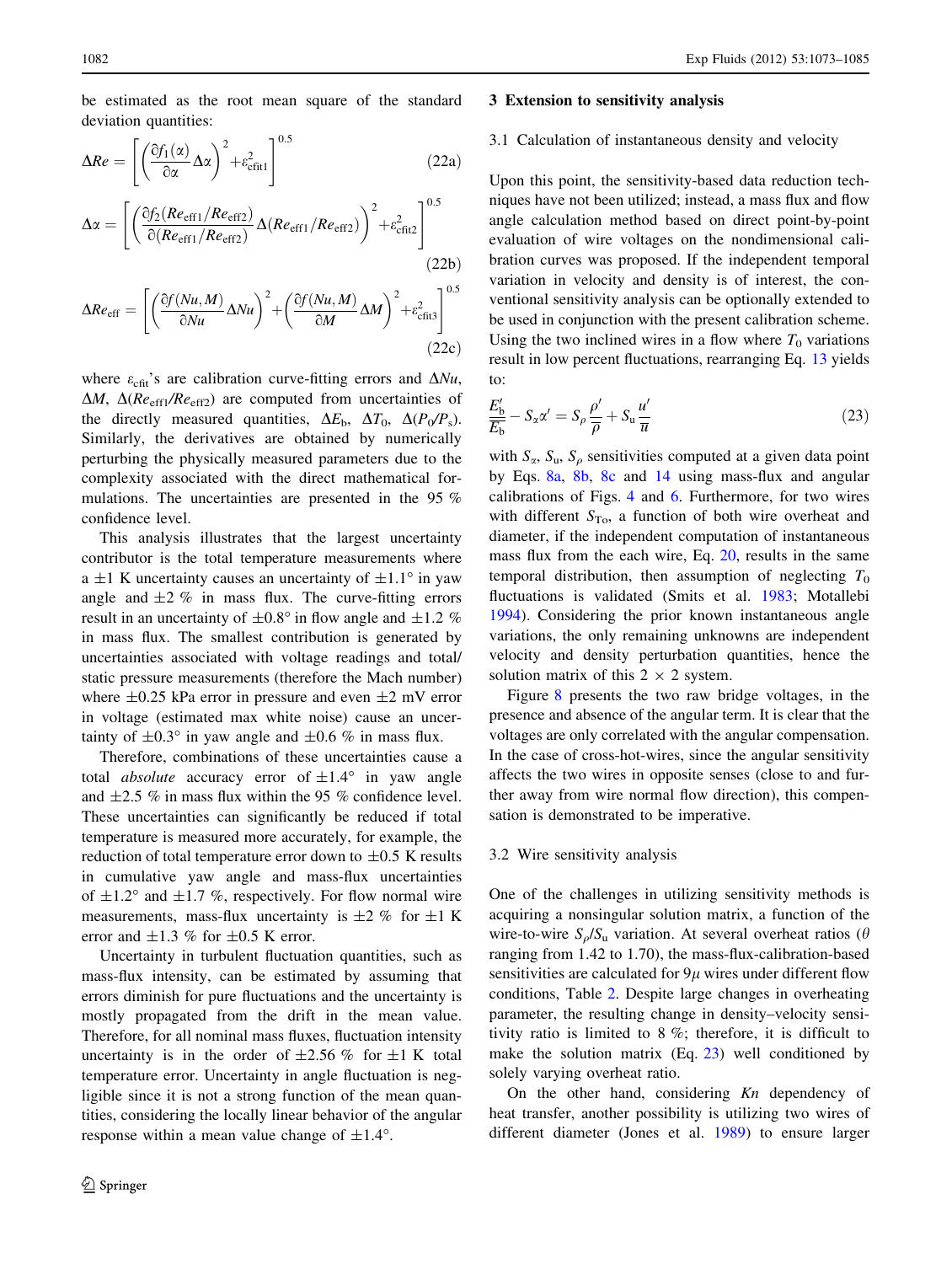<span id="page-9-0"></span>be estimated as the root mean square of the standard deviation quantities:

$$
\Delta Re = \left[ \left( \frac{\partial f_1(\alpha)}{\partial \alpha} \Delta \alpha \right)^2 + \varepsilon_{\text{cfit1}}^2 \right]^{0.5}
$$
\n
$$
\Delta \alpha = \left[ \left( \frac{\partial f_2(Re_{\text{eff1}}/Re_{\text{eff2}})}{\partial (Re_{\text{cm}}/Re_{\text{cm}})} \Delta(Re_{\text{eff1}}/Re_{\text{eff2}}) \right)^2 + \varepsilon_{\text{cfit2}}^2 \right]^{0.5}
$$
\n(22a)

$$
\Delta \alpha = \left[ \left( \frac{\partial f_2 (Re_{\rm eff1}/Re_{\rm eff2})}{\partial (Re_{\rm eff1}/Re_{\rm eff2})} \Delta (Re_{\rm eff1}/Re_{\rm eff2}) \right)^2 + \varepsilon_{\rm crit2}^2 \right]
$$
(22b)

$$
\Delta Re_{\rm eff} = \left[ \left( \frac{\partial f(Nu, M)}{\partial Nu} \Delta Nu \right)^2 + \left( \frac{\partial f(Nu, M)}{\partial M} \Delta M \right)^2 + \epsilon_{\rm crit3}^2 \right]^{0.5}
$$
\n(22c)

where  $\varepsilon_{\text{crit}}$ 's are calibration curve-fitting errors and  $\Delta Nu$ ,  $\Delta M$ ,  $\Delta (Re_{\text{eff1}}/Re_{\text{eff2}})$  are computed from uncertainties of the directly measured quantities,  $\Delta E_{\rm b}$ ,  $\Delta T_0$ ,  $\Delta (P_0/P_s)$ . Similarly, the derivatives are obtained by numerically perturbing the physically measured parameters due to the complexity associated with the direct mathematical formulations. The uncertainties are presented in the 95 % confidence level.

This analysis illustrates that the largest uncertainty contributor is the total temperature measurements where a  $\pm 1$  K uncertainty causes an uncertainty of  $\pm 1.1^\circ$  in yaw angle and  $\pm 2$  % in mass flux. The curve-fitting errors result in an uncertainty of  $\pm 0.8^\circ$  in flow angle and  $\pm 1.2$  % in mass flux. The smallest contribution is generated by uncertainties associated with voltage readings and total/ static pressure measurements (therefore the Mach number) where  $\pm 0.25$  kPa error in pressure and even  $\pm 2$  mV error in voltage (estimated max white noise) cause an uncertainty of  $\pm 0.3^{\circ}$  in yaw angle and  $\pm 0.6$  % in mass flux.

Therefore, combinations of these uncertainties cause a total *absolute* accuracy error of  $\pm 1.4^\circ$  in yaw angle and  $\pm 2.5$  % in mass flux within the 95 % confidence level. These uncertainties can significantly be reduced if total temperature is measured more accurately, for example, the reduction of total temperature error down to  $\pm 0.5$  K results in cumulative yaw angle and mass-flux uncertainties of  $\pm 1.2^{\circ}$  and  $\pm 1.7$  %, respectively. For flow normal wire measurements, mass-flux uncertainty is  $\pm 2$  % for  $\pm 1$  K error and  $\pm 1.3$  % for  $\pm 0.5$  K error.

Uncertainty in turbulent fluctuation quantities, such as mass-flux intensity, can be estimated by assuming that errors diminish for pure fluctuations and the uncertainty is mostly propagated from the drift in the mean value. Therefore, for all nominal mass fluxes, fluctuation intensity uncertainty is in the order of  $\pm 2.56$  % for  $\pm 1$  K total temperature error. Uncertainty in angle fluctuation is negligible since it is not a strong function of the mean quantities, considering the locally linear behavior of the angular response within a mean value change of  $\pm 1.4^{\circ}$ .

#### 3 Extension to sensitivity analysis

## 3.1 Calculation of instantaneous density and velocity

Upon this point, the sensitivity-based data reduction techniques have not been utilized; instead, a mass flux and flow angle calculation method based on direct point-by-point evaluation of wire voltages on the nondimensional calibration curves was proposed. If the independent temporal variation in velocity and density is of interest, the conventional sensitivity analysis can be optionally extended to be used in conjunction with the present calibration scheme. Using the two inclined wires in a flow where  $T_0$  variations result in low percent fluctuations, rearranging Eq. [13](#page-3-0) yields to:

$$
\frac{E'_{\rm b}}{E_{\rm b}} - S_{\alpha} \alpha' = S_{\rho} \frac{\rho'}{\overline{\rho}} + S_{\rm u} \frac{u'}{\overline{u}} \tag{23}
$$

with  $S_{\alpha}$ ,  $S_{\mu}$ ,  $S_{\rho}$  sensitivities computed at a given data point by Eqs. [8a](#page-2-0), [8b,](#page-2-0) [8c](#page-2-0) and [14](#page-3-0) using mass-flux and angular calibrations of Figs. [4](#page-7-0) and [6.](#page-7-0) Furthermore, for two wires with different  $S_{\text{To}}$ , a function of both wire overheat and diameter, if the independent computation of instantaneous mass flux from the each wire, Eq. [20,](#page-7-0) results in the same temporal distribution, then assumption of neglecting  $T_0$ fluctuations is validated (Smits et al. [1983](#page-12-0); Motallebi [1994](#page-12-0)). Considering the prior known instantaneous angle variations, the only remaining unknowns are independent velocity and density perturbation quantities, hence the solution matrix of this  $2 \times 2$  system.

Figure [8](#page-10-0) presents the two raw bridge voltages, in the presence and absence of the angular term. It is clear that the voltages are only correlated with the angular compensation. In the case of cross-hot-wires, since the angular sensitivity affects the two wires in opposite senses (close to and further away from wire normal flow direction), this compensation is demonstrated to be imperative.

## 3.2 Wire sensitivity analysis

One of the challenges in utilizing sensitivity methods is acquiring a nonsingular solution matrix, a function of the wire-to-wire  $S_o/S_u$  variation. At several overheat ratios ( $\theta$ ranging from 1.42 to 1.70), the mass-flux-calibration-based sensitivities are calculated for  $9\mu$  wires under different flow conditions, Table [2](#page-10-0). Despite large changes in overheating parameter, the resulting change in density–velocity sensitivity ratio is limited to 8 %; therefore, it is difficult to make the solution matrix (Eq. 23) well conditioned by solely varying overheat ratio.

On the other hand, considering  $Kn$  dependency of heat transfer, another possibility is utilizing two wires of different diameter (Jones et al. [1989\)](#page-11-0) to ensure larger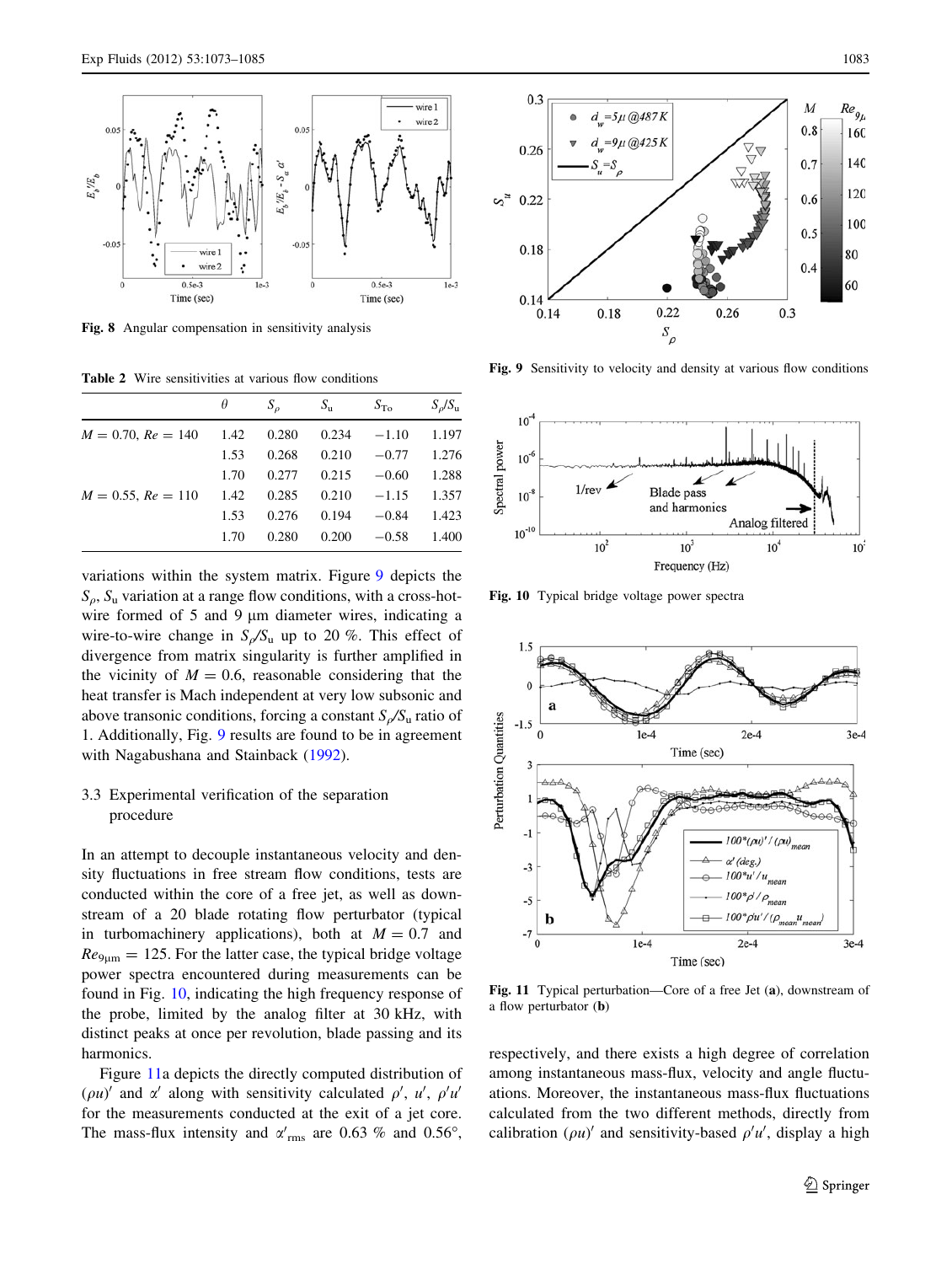<span id="page-10-0"></span>

Fig. 8 Angular compensation in sensitivity analysis

Table 2 Wire sensitivities at various flow conditions

|                                                | $\theta$ |       | $S_o$ $S_u$ $S_{\text{To}}$ |                     | $S_o/S_{\rm u}$ |
|------------------------------------------------|----------|-------|-----------------------------|---------------------|-----------------|
| $M = 0.70$ , $Re = 140$ 1.42 0.280 0.234 -1.10 |          |       |                             |                     | 1.197           |
|                                                | 1.53     | 0.268 |                             | $0.210 -0.77$       | 1.276           |
|                                                | 1.70     | 0.277 | $0.215 -0.60$               |                     | 1.288           |
| $M = 0.55$ , $Re = 110$ 1.42                   |          | 0.285 |                             | $0.210 -1.15$ 1.357 |                 |
|                                                | 1.53     |       | $0.276$ $0.194$ $-0.84$     |                     | 1.423           |
|                                                | 1.70     | 0.280 |                             | $0.200 -0.58$       | 1.400           |

variations within the system matrix. Figure 9 depicts the  $S_{\rho}$ ,  $S_{\mu}$  variation at a range flow conditions, with a cross-hotwire formed of  $5$  and  $9 \mu m$  diameter wires, indicating a wire-to-wire change in  $S_{\rho}/S_u$  up to 20 %. This effect of divergence from matrix singularity is further amplified in the vicinity of  $M = 0.6$ , reasonable considering that the heat transfer is Mach independent at very low subsonic and above transonic conditions, forcing a constant  $S_{\alpha}/S_{\mu}$  ratio of 1. Additionally, Fig. 9 results are found to be in agreement with Nagabushana and Stainback [\(1992](#page-12-0)).

# 3.3 Experimental verification of the separation procedure

In an attempt to decouple instantaneous velocity and density fluctuations in free stream flow conditions, tests are conducted within the core of a free jet, as well as downstream of a 20 blade rotating flow perturbator (typical in turbomachinery applications), both at  $M = 0.7$  and  $Re_{9 \mu m} = 125$ . For the latter case, the typical bridge voltage power spectra encountered during measurements can be found in Fig. 10, indicating the high frequency response of the probe, limited by the analog filter at 30 kHz, with distinct peaks at once per revolution, blade passing and its harmonics.

Figure 11a depicts the directly computed distribution of  $(\rho u)'$  and  $\alpha'$  along with sensitivity calculated  $\rho'$ ,  $u'$ ,  $\rho' u'$ for the measurements conducted at the exit of a jet core. The mass-flux intensity and  $\alpha'_{rms}$  are 0.63 % and 0.56°,



Fig. 9 Sensitivity to velocity and density at various flow conditions



Fig. 10 Typical bridge voltage power spectra



Fig. 11 Typical perturbation—Core of a free Jet (a), downstream of a flow perturbator (b)

respectively, and there exists a high degree of correlation among instantaneous mass-flux, velocity and angle fluctuations. Moreover, the instantaneous mass-flux fluctuations calculated from the two different methods, directly from calibration  $(\rho u)'$  and sensitivity-based  $\rho' u'$ , display a high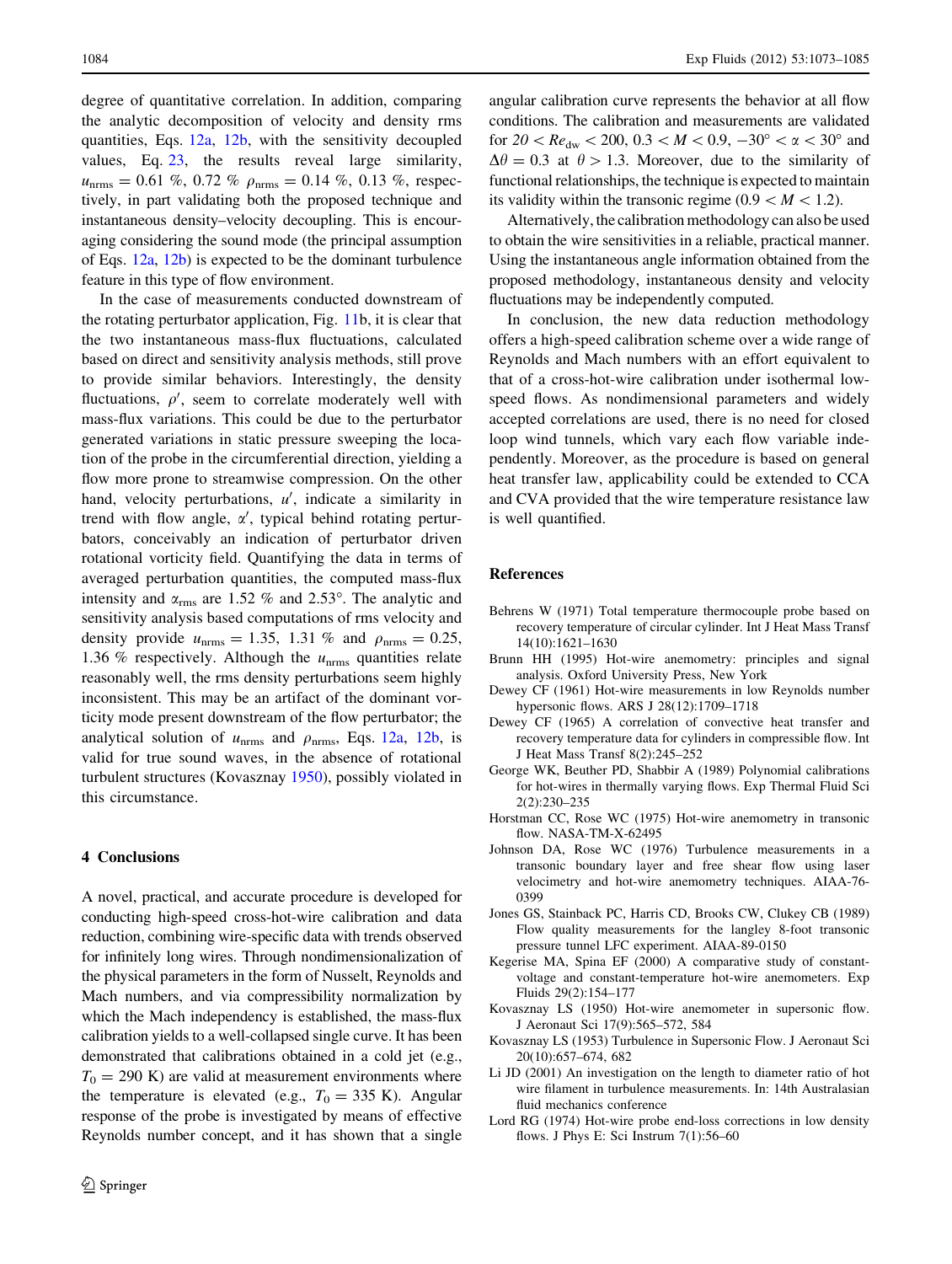<span id="page-11-0"></span>degree of quantitative correlation. In addition, comparing the analytic decomposition of velocity and density rms quantities, Eqs. [12a,](#page-3-0) [12b,](#page-3-0) with the sensitivity decoupled values, Eq. [23](#page-9-0), the results reveal large similarity,  $u_{\text{nrms}} = 0.61 \%$ , 0.72 %  $\rho_{\text{nrms}} = 0.14 \%$ , 0.13 %, respectively, in part validating both the proposed technique and instantaneous density–velocity decoupling. This is encouraging considering the sound mode (the principal assumption of Eqs. [12a,](#page-3-0) [12b\)](#page-3-0) is expected to be the dominant turbulence feature in this type of flow environment.

In the case of measurements conducted downstream of the rotating perturbator application, Fig. [11b](#page-10-0), it is clear that the two instantaneous mass-flux fluctuations, calculated based on direct and sensitivity analysis methods, still prove to provide similar behaviors. Interestingly, the density fluctuations,  $\rho'$ , seem to correlate moderately well with mass-flux variations. This could be due to the perturbator generated variations in static pressure sweeping the location of the probe in the circumferential direction, yielding a flow more prone to streamwise compression. On the other hand, velocity perturbations,  $u'$ , indicate a similarity in trend with flow angle,  $\alpha'$ , typical behind rotating perturbators, conceivably an indication of perturbator driven rotational vorticity field. Quantifying the data in terms of averaged perturbation quantities, the computed mass-flux intensity and  $\alpha_{\rm rms}$  are 1.52 % and 2.53°. The analytic and sensitivity analysis based computations of rms velocity and density provide  $u_{\text{nrms}} = 1.35$ , 1.31 % and  $\rho_{\text{nrms}} = 0.25$ , 1.36 % respectively. Although the  $u_{\text{nrms}}$  quantities relate reasonably well, the rms density perturbations seem highly inconsistent. This may be an artifact of the dominant vorticity mode present downstream of the flow perturbator; the analytical solution of  $u_{\text{nrms}}$  and  $\rho_{\text{nrms}}$ , Eqs. [12a,](#page-3-0) [12b](#page-3-0), is valid for true sound waves, in the absence of rotational turbulent structures (Kovasznay 1950), possibly violated in this circumstance.

## 4 Conclusions

A novel, practical, and accurate procedure is developed for conducting high-speed cross-hot-wire calibration and data reduction, combining wire-specific data with trends observed for infinitely long wires. Through nondimensionalization of the physical parameters in the form of Nusselt, Reynolds and Mach numbers, and via compressibility normalization by which the Mach independency is established, the mass-flux calibration yields to a well-collapsed single curve. It has been demonstrated that calibrations obtained in a cold jet (e.g.,  $T_0 = 290$  K) are valid at measurement environments where the temperature is elevated (e.g.,  $T_0 = 335$  K). Angular response of the probe is investigated by means of effective Reynolds number concept, and it has shown that a single angular calibration curve represents the behavior at all flow conditions. The calibration and measurements are validated for  $20 < Re_{\text{dw}} < 200, 0.3 < M < 0.9, -30\degree < \alpha < 30\degree$  and  $\Delta\theta = 0.3$  at  $\theta > 1.3$ . Moreover, due to the similarity of functional relationships, the technique is expected to maintain its validity within the transonic regime  $(0.9 < M < 1.2)$ .

Alternatively, the calibration methodology can also be used to obtain the wire sensitivities in a reliable, practical manner. Using the instantaneous angle information obtained from the proposed methodology, instantaneous density and velocity fluctuations may be independently computed.

In conclusion, the new data reduction methodology offers a high-speed calibration scheme over a wide range of Reynolds and Mach numbers with an effort equivalent to that of a cross-hot-wire calibration under isothermal lowspeed flows. As nondimensional parameters and widely accepted correlations are used, there is no need for closed loop wind tunnels, which vary each flow variable independently. Moreover, as the procedure is based on general heat transfer law, applicability could be extended to CCA and CVA provided that the wire temperature resistance law is well quantified.

#### References

- Behrens W (1971) Total temperature thermocouple probe based on recovery temperature of circular cylinder. Int J Heat Mass Transf 14(10):1621–1630
- Brunn HH (1995) Hot-wire anemometry: principles and signal analysis. Oxford University Press, New York
- Dewey CF (1961) Hot-wire measurements in low Reynolds number hypersonic flows. ARS J 28(12):1709–1718
- Dewey CF (1965) A correlation of convective heat transfer and recovery temperature data for cylinders in compressible flow. Int J Heat Mass Transf 8(2):245–252
- George WK, Beuther PD, Shabbir A (1989) Polynomial calibrations for hot-wires in thermally varying flows. Exp Thermal Fluid Sci 2(2):230–235
- Horstman CC, Rose WC (1975) Hot-wire anemometry in transonic flow. NASA-TM-X-62495
- Johnson DA, Rose WC (1976) Turbulence measurements in a transonic boundary layer and free shear flow using laser velocimetry and hot-wire anemometry techniques. AIAA-76- 0399
- Jones GS, Stainback PC, Harris CD, Brooks CW, Clukey CB (1989) Flow quality measurements for the langley 8-foot transonic pressure tunnel LFC experiment. AIAA-89-0150
- Kegerise MA, Spina EF (2000) A comparative study of constantvoltage and constant-temperature hot-wire anemometers. Exp Fluids 29(2):154–177
- Kovasznay LS (1950) Hot-wire anemometer in supersonic flow. J Aeronaut Sci 17(9):565–572, 584
- Kovasznay LS (1953) Turbulence in Supersonic Flow. J Aeronaut Sci 20(10):657–674, 682
- Li JD (2001) An investigation on the length to diameter ratio of hot wire filament in turbulence measurements. In: 14th Australasian fluid mechanics conference
- Lord RG (1974) Hot-wire probe end-loss corrections in low density flows. J Phys E: Sci Instrum 7(1):56–60